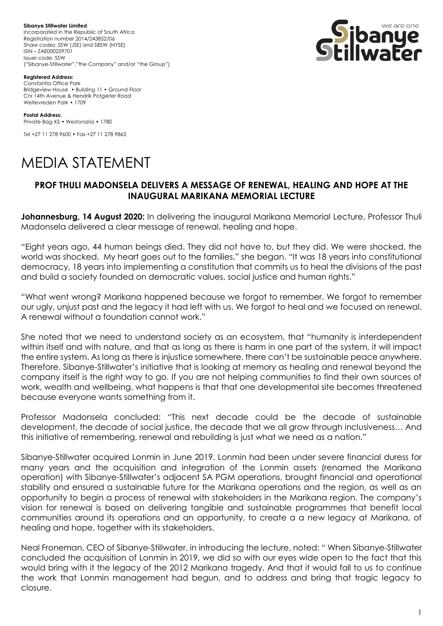**Sibanye Stillwater Limited**  Incorporated in the Republic of South Africa Registration number 2014/243852/06 Share codes: SSW (JSE) and SBSW (NYSE) ISIN – ZAE000259701 Issuer code: SSW ("Sibanye-Stillwater","the Company" and/or "the Group")



**Registered Address:**

Constantia Office Park Bridgeview House • Building 11 • Ground Floor Cnr 14th Avenue & Hendrik Potgieter Road Weltevreden Park • 1709

**Postal Address:** Private Bag X5 • Westonaria • 1780

Tel +27 11 278 9600 • Fax +27 11 278 9863

## MEDIA STATEMENT

## **PROF THULI MADONSELA DELIVERS A MESSAGE OF RENEWAL, HEALING AND HOPE AT THE INAUGURAL MARIKANA MEMORIAL LECTURE**

**Johannesburg, 14 August 2020:** In delivering the inaugural Marikana Memorial Lecture, Professor Thuli Madonsela delivered a clear message of renewal, healing and hope.

"Eight years ago, 44 human beings died. They did not have to, but they did. We were shocked, the world was shocked. My heart goes out to the families," she began. "It was 18 years into constitutional democracy, 18 years into implementing a constitution that commits us to heal the divisions of the past and build a society founded on democratic values, social justice and human rights."

"What went wrong? Marikana happened because we forgot to remember. We forgot to remember our ugly, unjust past and the legacy it had left with us. We forgot to heal and we focused on renewal. A renewal without a foundation cannot work."

She noted that we need to understand society as an ecosystem, that "humanity is interdependent within itself and with nature, and that as long as there is harm in one part of the system, it will impact the entire system. As long as there is injustice somewhere, there can't be sustainable peace anywhere. Therefore, Sibanye-Stillwater's initiative that is looking at memory as healing and renewal beyond the company itself is the right way to go. If you are not helping communities to find their own sources of work, wealth and wellbeing, what happens is that that one developmental site becomes threatened because everyone wants something from it.

Professor Madonsela concluded: "This next decade could be the decade of sustainable development, the decade of social justice, the decade that we all grow through inclusiveness… And this initiative of remembering, renewal and rebuilding is just what we need as a nation."

Sibanye-Stillwater acquired Lonmin in June 2019. Lonmin had been under severe financial duress for many years and the acquisition and integration of the Lonmin assets (renamed the Marikana operation) with Sibanye-Stillwater's adjacent SA PGM operations, brought financial and operational stability and ensured a sustainable future for the Marikana operations and the region, as well as an opportunity to begin a process of renewal with stakeholders in the Marikana region. The company's vision for renewal is based on delivering tangible and sustainable programmes that benefit local communities around its operations and an opportunity, to create a a new legacy at Marikana, of healing and hope, together with its stakeholders.

Neal Froneman, CEO of Sibanye-Stillwater, in introducing the lecture, noted: " When Sibanye-Stillwater concluded the acquisition of Lonmin in 2019, we did so with our eyes wide open to the fact that this would bring with it the legacy of the 2012 Marikana tragedy. And that it would fall to us to continue the work that Lonmin management had begun, and to address and bring that tragic legacy to closure.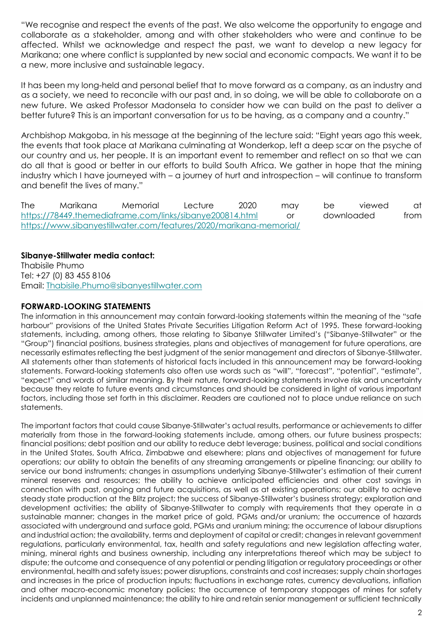"We recognise and respect the events of the past. We also welcome the opportunity to engage and collaborate as a stakeholder, among and with other stakeholders who were and continue to be affected. Whilst we acknowledge and respect the past, we want to develop a new legacy for Marikana; one where conflict is supplanted by new social and economic compacts. We want it to be a new, more inclusive and sustainable legacy.

It has been my long-held and personal belief that to move forward as a company, as an industry and as a society, we need to reconcile with our past and, in so doing, we will be able to collaborate on a new future. We asked Professor Madonsela to consider how we can build on the past to deliver a better future? This is an important conversation for us to be having, as a company and a country."

Archbishop Makgoba, in his message at the beginning of the lecture said: "Eight years ago this week, the events that took place at Marikana culminating at Wonderkop, left a deep scar on the psyche of our country and us, her people. It is an important event to remember and reflect on so that we can do all that is good or better in our efforts to build South Africa. We gather in hope that the mining industry which I have journeyed with – a journey of hurt and introspection – will continue to transform and benefit the lives of many."

The Marikana Memorial Lecture 2020 may be viewed at <https://78449.themediaframe.com/links/sibanye200814.html> or downloaded from <https://www.sibanyestillwater.com/features/2020/marikana-memorial/>

## **Sibanye-Stillwater media contact:**

Thabisile Phumo Tel: +27 (0) 83 455 8106 Email: [Thabisile.Phumo@sibanyestillwater.com](mailto:Thabisile.Phumo@sibanyestillwater.com)

## **FORWARD-LOOKING STATEMENTS**

The information in this announcement may contain forward-looking statements within the meaning of the "safe harbour" provisions of the United States Private Securities Litigation Reform Act of 1995. These forward-looking statements, including, among others, those relating to Sibanye Stillwater Limited's ("Sibanye-Stillwater" or the "Group") financial positions, business strategies, plans and objectives of management for future operations, are necessarily estimates reflecting the best judgment of the senior management and directors of Sibanye-Stillwater. All statements other than statements of historical facts included in this announcement may be forward-looking statements. Forward-looking statements also often use words such as "will", "forecast", "potential", "estimate", "expect" and words of similar meaning. By their nature, forward-looking statements involve risk and uncertainty because they relate to future events and circumstances and should be considered in light of various important factors, including those set forth in this disclaimer. Readers are cautioned not to place undue reliance on such statements.

The important factors that could cause Sibanye-Stillwater's actual results, performance or achievements to differ materially from those in the forward-looking statements include, among others, our future business prospects; financial positions; debt position and our ability to reduce debt leverage; business, political and social conditions in the United States, South Africa, Zimbabwe and elsewhere; plans and objectives of management for future operations; our ability to obtain the benefits of any streaming arrangements or pipeline financing; our ability to service our bond instruments; changes in assumptions underlying Sibanye-Stillwater's estimation of their current mineral reserves and resources; the ability to achieve anticipated efficiencies and other cost savings in connection with past, ongoing and future acquisitions, as well as at existing operations; our ability to achieve steady state production at the Blitz project; the success of Sibanye-Stillwater's business strategy; exploration and development activities; the ability of Sibanye-Stillwater to comply with requirements that they operate in a sustainable manner; changes in the market price of gold, PGMs and/or uranium; the occurrence of hazards associated with underground and surface gold, PGMs and uranium mining; the occurrence of labour disruptions and industrial action; the availability, terms and deployment of capital or credit; changes in relevant government regulations, particularly environmental, tax, health and safety regulations and new legislation affecting water, mining, mineral rights and business ownership, including any interpretations thereof which may be subject to dispute; the outcome and consequence of any potential or pending litigation or regulatory proceedings or other environmental, health and safety issues; power disruptions, constraints and cost increases; supply chain shortages and increases in the price of production inputs; fluctuations in exchange rates, currency devaluations, inflation and other macro-economic monetary policies; the occurrence of temporary stoppages of mines for safety incidents and unplanned maintenance; the ability to hire and retain senior management or sufficient technically